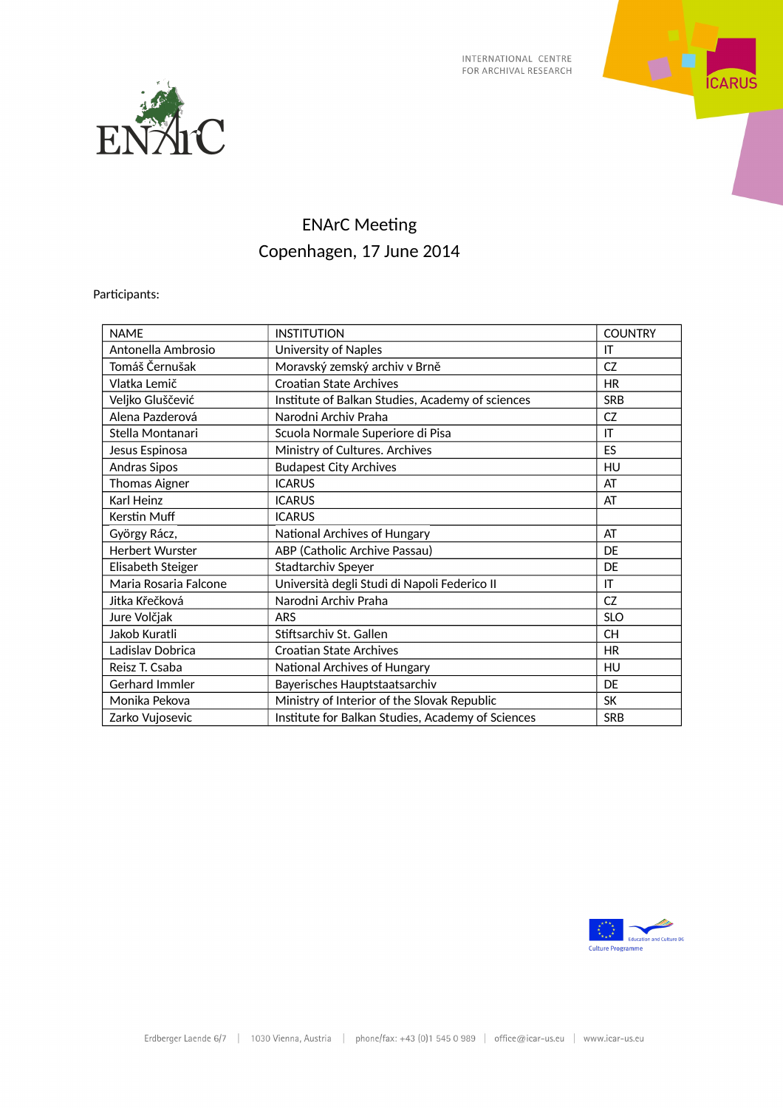



## ENArC Meeting Copenhagen, 17 June 2014

Participants:

| <b>NAME</b>            | <b>INSTITUTION</b>                                | <b>COUNTRY</b> |
|------------------------|---------------------------------------------------|----------------|
| Antonella Ambrosio     | University of Naples                              | IT             |
| Tomáš Černušak         | Moravský zemský archiv v Brně                     | CZ             |
| Vlatka Lemič           | <b>Croatian State Archives</b>                    | <b>HR</b>      |
| Veljko Gluščević       | Institute of Balkan Studies, Academy of sciences  | <b>SRB</b>     |
| Alena Pazderová        | Narodni Archiv Praha                              | <b>CZ</b>      |
| Stella Montanari       | Scuola Normale Superiore di Pisa                  | IT             |
| Jesus Espinosa         | Ministry of Cultures. Archives                    | ES             |
| Andras Sipos           | <b>Budapest City Archives</b>                     | HU             |
| <b>Thomas Aigner</b>   | <b>ICARUS</b>                                     | AT             |
| Karl Heinz             | <b>ICARUS</b>                                     | AT             |
| Kerstin Muff           | <b>ICARUS</b>                                     |                |
| György Rácz,           | National Archives of Hungary                      | AT             |
| <b>Herbert Wurster</b> | ABP (Catholic Archive Passau)                     | DF             |
| Elisabeth Steiger      | Stadtarchiv Speyer                                | DE             |
| Maria Rosaria Falcone  | Università degli Studi di Napoli Federico II      | IT             |
| Jitka Křečková         | Narodni Archiv Praha                              | <b>CZ</b>      |
| Jure Volčjak           | <b>ARS</b>                                        | <b>SLO</b>     |
| Jakob Kuratli          | Stiftsarchiv St. Gallen                           | <b>CH</b>      |
| Ladislav Dobrica       | <b>Croatian State Archives</b>                    | <b>HR</b>      |
| Reisz T. Csaba         | National Archives of Hungary                      | HU             |
| Gerhard Immler         | Bayerisches Hauptstaatsarchiv                     | DF             |
| Monika Pekova          | Ministry of Interior of the Slovak Republic       | <b>SK</b>      |
| Zarko Vujosevic        | Institute for Balkan Studies, Academy of Sciences | <b>SRB</b>     |

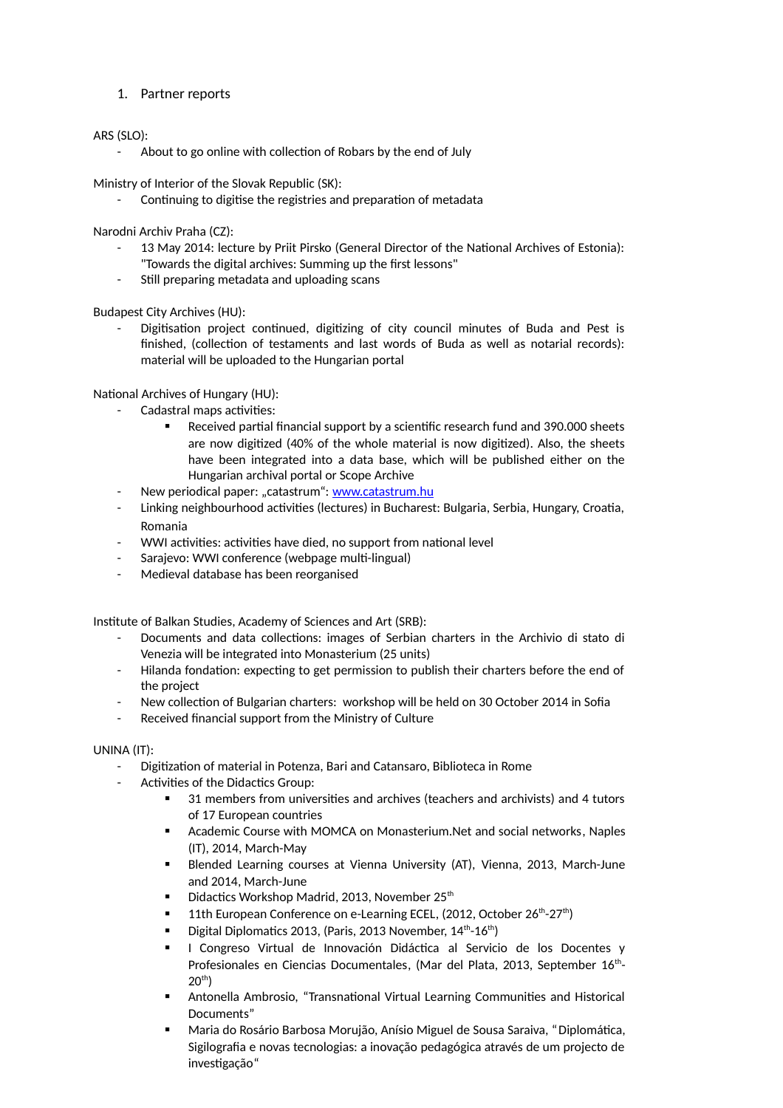1. Partner reports

## ARS (SLO):

About to go online with collection of Robars by the end of July

Ministry of Interior of the Slovak Republic (SK):

- Continuing to digitise the registries and preparation of metadata

Narodni Archiv Praha (CZ):

- 13 May 2014: lecture by Priit Pirsko (General Director of the National Archives of Estonia): "Towards the digital archives: Summing up the first lessons"
- Still preparing metadata and uploading scans

Budapest City Archives (HU):

Digitisation project continued, digitizing of city council minutes of Buda and Pest is finished, (collection of testaments and last words of Buda as well as notarial records): material will be uploaded to the Hungarian portal

National Archives of Hungary (HU):

- Cadastral maps activities:
	- Received partial financial support by a scientific research fund and 390.000 sheets are now digitized (40% of the whole material is now digitized). Also, the sheets have been integrated into a data base, which will be published either on the Hungarian archival portal or Scope Archive
- New periodical paper: "catastrum": [www.catastrum.hu](http://www.catastrum.hu/)
- Linking neighbourhood activities (lectures) in Bucharest: Bulgaria, Serbia, Hungary, Croatia, Romania
- WWI activities: activities have died, no support from national level
- Sarajevo: WWI conference (webpage multi-lingual)
- Medieval database has been reorganised

Institute of Balkan Studies, Academy of Sciences and Art (SRB):

- Documents and data collections: images of Serbian charters in the Archivio di stato di Venezia will be integrated into Monasterium (25 units)
- Hilanda fondation: expecting to get permission to publish their charters before the end of the project
- New collection of Bulgarian charters: workshop will be held on 30 October 2014 in Sofia
- Received financial support from the Ministry of Culture

## UNINA (IT):

- Digitization of material in Potenza, Bari and Catansaro, Biblioteca in Rome
- Activities of the Didactics Group:
	- 31 members from universities and archives (teachers and archivists) and 4 tutors of 17 European countries
	- Academic Course with MOMCA on Monasterium.Net and social networks, Naples (IT), 2014, March-May
	- Blended Learning courses at Vienna University (AT), Vienna, 2013, March-June and 2014, March-June
	- Didactics Workshop Madrid, 2013, November 25<sup>th</sup>
	- 11th European Conference on e-Learning ECEL, (2012, October 26<sup>th</sup>-27<sup>th</sup>)
	- Digital Diplomatics 2013, (Paris, 2013 November,  $14^{th}$ - $16^{th}$ )
	- I Congreso Virtual de Innovación Didáctica al Servicio de los Docentes y Profesionales en Ciencias Documentales, (Mar del Plata, 2013, September 16<sup>th</sup>- $20^{th}$ )
	- Antonella Ambrosio, "Transnational Virtual Learning Communities and Historical Documents"
	- Maria do Rosário Barbosa Morujão, Anísio Miguel de Sousa Saraiva, "Diplomática, Sigilografia e novas tecnologias: a inovação pedagógica através de um projecto de investigação"